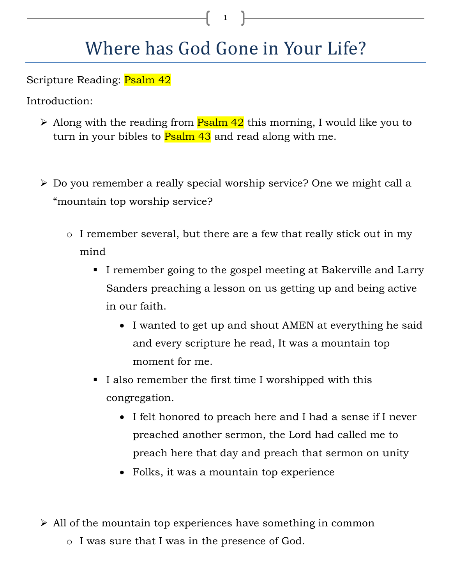## Where has God Gone in Your Life?

Scripture Reading: Psalm 42

Introduction:

- Along with the reading from  $\frac{P}{\text{Salm}}$  42 this morning, I would like you to turn in your bibles to **Psalm 43** and read along with me.
- Do you remember a really special worship service? One we might call a "mountain top worship service?
	- o I remember several, but there are a few that really stick out in my mind
		- I remember going to the gospel meeting at Bakerville and Larry Sanders preaching a lesson on us getting up and being active in our faith.
			- I wanted to get up and shout AMEN at everything he said and every scripture he read, It was a mountain top moment for me.
		- I also remember the first time I worshipped with this congregation.
			- I felt honored to preach here and I had a sense if I never preached another sermon, the Lord had called me to preach here that day and preach that sermon on unity
			- Folks, it was a mountain top experience

 $\triangleright$  All of the mountain top experiences have something in common

o I was sure that I was in the presence of God.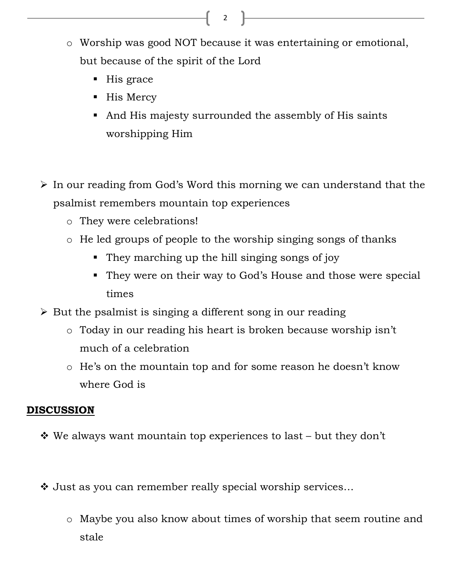- o Worship was good NOT because it was entertaining or emotional, but because of the spirit of the Lord
	- His grace
	- His Mercy
	- And His majesty surrounded the assembly of His saints worshipping Him
- $\triangleright$  In our reading from God's Word this morning we can understand that the psalmist remembers mountain top experiences
	- o They were celebrations!
	- o He led groups of people to the worship singing songs of thanks
		- They marching up the hill singing songs of joy
		- They were on their way to God's House and those were special times
- $\triangleright$  But the psalmist is singing a different song in our reading
	- o Today in our reading his heart is broken because worship isn't much of a celebration
	- o He's on the mountain top and for some reason he doesn't know where God is

## **DISCUSSION**

- $\cdot$  We always want mountain top experiences to last but they don't
- Just as you can remember really special worship services…
	- o Maybe you also know about times of worship that seem routine and stale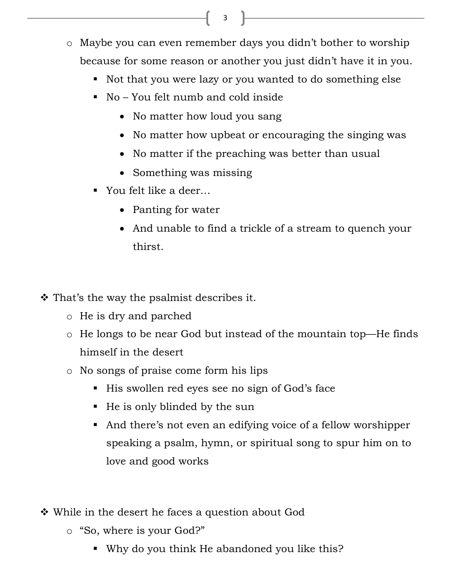- o Maybe you can even remember days you didn't bother to worship because for some reason or another you just didn't have it in you.
	- Not that you were lazy or you wanted to do something else
	- No You felt numb and cold inside
		- No matter how loud you sang
		- No matter how upbeat or encouraging the singing was
		- No matter if the preaching was better than usual
		- Something was missing
	- - You felt like a deer…
		- Panting for water
		- And unable to find a trickle of a stream to quench your thirst.
- $\cdot$  That's the way the psalmist describes it.
	- o He is dry and parched
	- o He longs to be near God but instead of the mountain top—He finds himself in the desert
	- o No songs of praise come form his lips
		- His swollen red eyes see no sign of God's face
		- He is only blinded by the sun
		- And there's not even an edifying voice of a fellow worshipper speaking a psalm, hymn, or spiritual song to spur him on to love and good works
- While in the desert he faces a question about God
	- o "So, where is your God?"
		- Why do you think He abandoned you like this?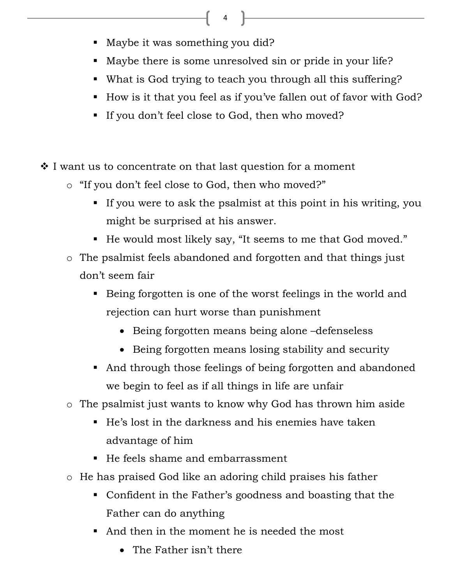- -Maybe it was something you did?
- Maybe there is some unresolved sin or pride in your life?
- What is God trying to teach you through all this suffering?
- How is it that you feel as if you've fallen out of favor with God?
- If you don't feel close to God, then who moved?
- $\cdot$  I want us to concentrate on that last question for a moment
	- o "If you don't feel close to God, then who moved?"
		- If you were to ask the psalmist at this point in his writing, you might be surprised at his answer.
		- He would most likely say, "It seems to me that God moved."
	- o The psalmist feels abandoned and forgotten and that things just don't seem fair
		- Being forgotten is one of the worst feelings in the world and rejection can hurt worse than punishment
			- Being forgotten means being alone –defenseless
			- Being forgotten means losing stability and security
		- And through those feelings of being forgotten and abandoned we begin to feel as if all things in life are unfair
	- o The psalmist just wants to know why God has thrown him aside
		- He's lost in the darkness and his enemies have taken advantage of him
		- He feels shame and embarrassment
	- o He has praised God like an adoring child praises his father
		- Confident in the Father's goodness and boasting that the Father can do anything
		- - And then in the moment he is needed the most
			- The Father isn't there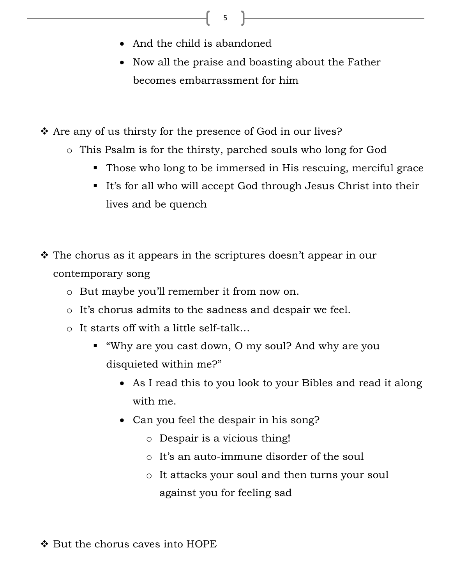- And the child is abandoned
- Now all the praise and boasting about the Father becomes embarrassment for him
- Are any of us thirsty for the presence of God in our lives?
	- o This Psalm is for the thirsty, parched souls who long for God
		- Those who long to be immersed in His rescuing, merciful grace
		- It's for all who will accept God through Jesus Christ into their lives and be quench
- $\hat{\mathbf{v}}$  The chorus as it appears in the scriptures doesn't appear in our contemporary song
	- o But maybe you'll remember it from now on.
	- o It's chorus admits to the sadness and despair we feel.
	- o It starts off with a little self-talk…
		- - "Why are you cast down, O my soul? And why are you disquieted within me?"
			- As I read this to you look to your Bibles and read it along with me.
			- Can you feel the despair in his song?
				- o Despair is a vicious thing!
				- o It's an auto-immune disorder of the soul
				- o It attacks your soul and then turns your soul against you for feeling sad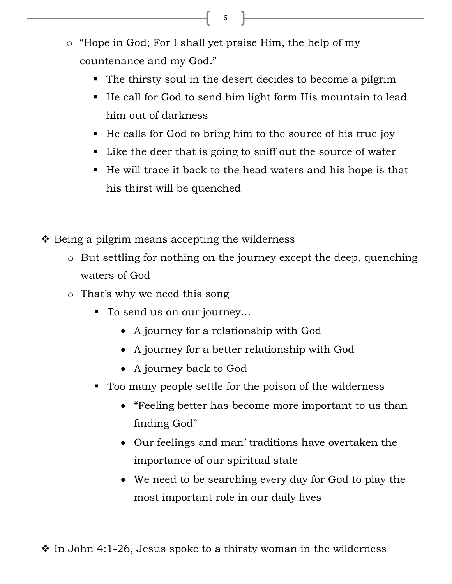- o "Hope in God; For I shall yet praise Him, the help of my countenance and my God."
	- The thirsty soul in the desert decides to become a pilgrim
	- He call for God to send him light form His mountain to lead him out of darkness
	- He calls for God to bring him to the source of his true joy
	- Like the deer that is going to sniff out the source of water
	- He will trace it back to the head waters and his hope is that his thirst will be quenched
- $\triangle$  Being a pilgrim means accepting the wilderness
	- o But settling for nothing on the journey except the deep, quenching waters of God
	- o That's why we need this song
		- To send us on our journey…
			- A journey for a relationship with God
			- A journey for a better relationship with God
			- A journey back to God
		- - Too many people settle for the poison of the wilderness
			- "Feeling better has become more important to us than finding God"
			- Our feelings and man' traditions have overtaken the importance of our spiritual state
			- We need to be searching every day for God to play the most important role in our daily lives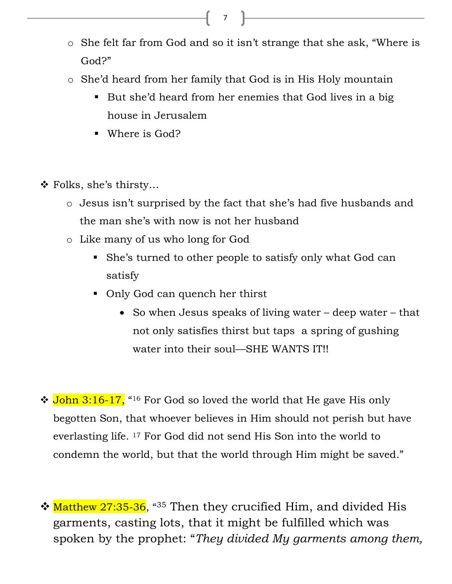- o She felt far from God and so it isn't strange that she ask, "Where is God?"
- o She'd heard from her family that God is in His Holy mountain
	- But she'd heard from her enemies that God lives in a big house in Jerusalem
	- Where is God?
- Folks, she's thirsty…
	- o Jesus isn't surprised by the fact that she's had five husbands and the man she's with now is not her husband
	- o Like many of us who long for God
		- She's turned to other people to satisfy only what God can satisfy
		- Only God can quench her thirst
			- So when Jesus speaks of living water deep water that not only satisfies thirst but taps a spring of gushing water into their soul—SHE WANTS IT!!
- **↓ John 3:16-17,** "<sup>16</sup> For God so loved the world that He gave His only begotten Son, that whoever believes in Him should not perish but have everlasting life. 17 For God did not send His Son into the world to condemn the world, but that the world through Him might be saved."
- \* Matthew 27:35-36, 435 Then they crucified Him, and divided His garments, casting lots, that it might be fulfilled which was spoken by the prophet: "*They divided My garments among them,*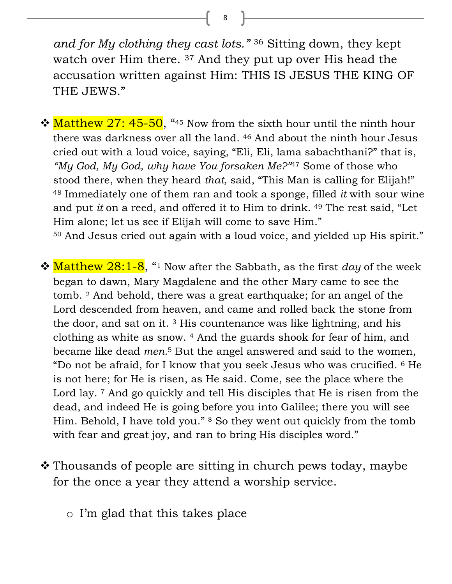*and for My clothing they cast lots."* <sup>36</sup> Sitting down, they kept watch over Him there. 37 And they put up over His head the accusation written against Him: THIS IS JESUS THE KING OF THE JEWS."

 $\cdot$  Matthew 27: 45-50, "45 Now from the sixth hour until the ninth hour there was darkness over all the land. 46 And about the ninth hour Jesus cried out with a loud voice, saying, "Eli, Eli, lama sabachthani?" that is, *"My God, My God, why have You forsaken Me?"*47 Some of those who stood there, when they heard *that,* said, "This Man is calling for Elijah!" <sup>48</sup> Immediately one of them ran and took a sponge, filled *it* with sour wine and put *it* on a reed, and offered it to Him to drink. 49 The rest said, "Let Him alone; let us see if Elijah will come to save Him."

<sup>50</sup> And Jesus cried out again with a loud voice, and yielded up His spirit."

- **\*** Matthew 28:1-8, "<sup>1</sup> Now after the Sabbath, as the first *day* of the week began to dawn, Mary Magdalene and the other Mary came to see the tomb. 2 And behold, there was a great earthquake; for an angel of the Lord descended from heaven, and came and rolled back the stone from the door, and sat on it. 3 His countenance was like lightning, and his clothing as white as snow. 4 And the guards shook for fear of him, and became like dead *men.*5 But the angel answered and said to the women, "Do not be afraid, for I know that you seek Jesus who was crucified. 6 He is not here; for He is risen, as He said. Come, see the place where the Lord lay. <sup>7</sup> And go quickly and tell His disciples that He is risen from the dead, and indeed He is going before you into Galilee; there you will see Him. Behold, I have told you." 8 So they went out quickly from the tomb with fear and great joy, and ran to bring His disciples word."
- **\*** Thousands of people are sitting in church pews today, maybe for the once a year they attend a worship service.
	- o I'm glad that this takes place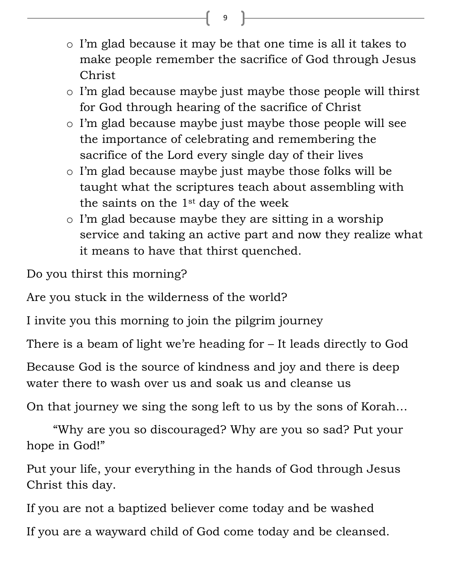- o I'm glad because it may be that one time is all it takes to make people remember the sacrifice of God through Jesus Christ
- o I'm glad because maybe just maybe those people will thirst for God through hearing of the sacrifice of Christ
- o I'm glad because maybe just maybe those people will see the importance of celebrating and remembering the sacrifice of the Lord every single day of their lives
- o I'm glad because maybe just maybe those folks will be taught what the scriptures teach about assembling with the saints on the 1st day of the week
- o I'm glad because maybe they are sitting in a worship service and taking an active part and now they realize what it means to have that thirst quenched.

Do you thirst this morning?

Are you stuck in the wilderness of the world?

I invite you this morning to join the pilgrim journey

There is a beam of light we're heading for – It leads directly to God

Because God is the source of kindness and joy and there is deep water there to wash over us and soak us and cleanse us

On that journey we sing the song left to us by the sons of Korah…

 "Why are you so discouraged? Why are you so sad? Put your hope in God!"

Put your life, your everything in the hands of God through Jesus Christ this day.

If you are not a baptized believer come today and be washed

If you are a wayward child of God come today and be cleansed.